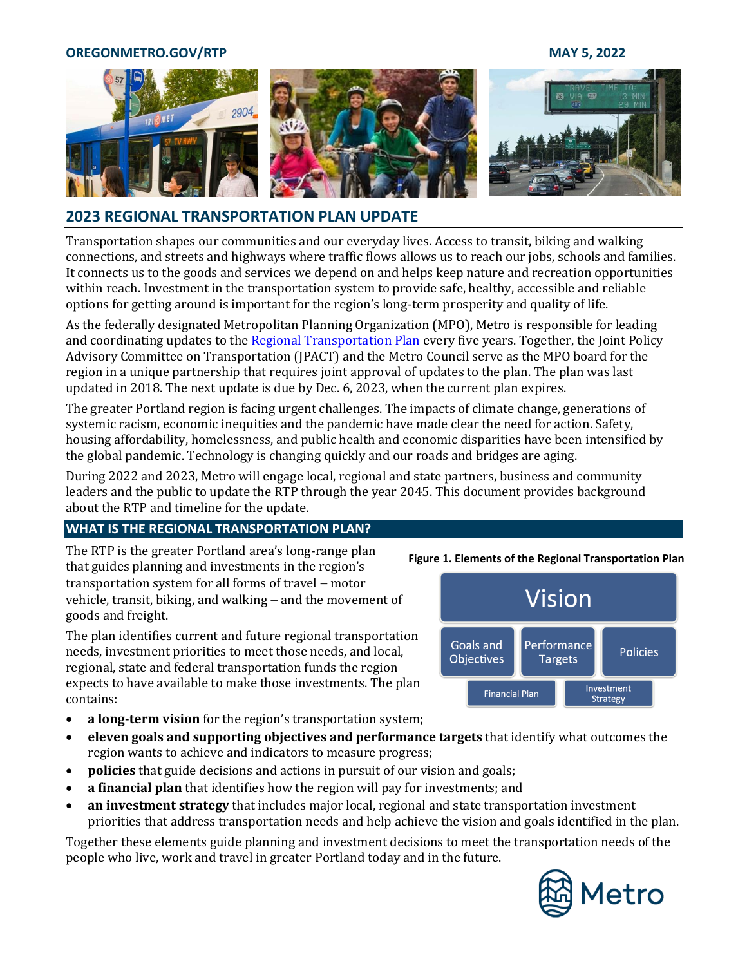### **[OREGONMETRO.GOV/RTP](https://www.oregonmetro.gov/public-projects/2023-regional-transportation-plan) MAY 5, 2022**



# **2023 REGIONAL TRANSPORTATION PLAN UPDATE**

Transportation shapes our communities and our everyday lives. Access to transit, biking and walking connections, and streets and highways where traffic flows allows us to reach our jobs, schools and families. It connects us to the goods and services we depend on and helps keep nature and recreation opportunities within reach. Investment in the transportation system to provide safe, healthy, accessible and reliable options for getting around is important for the region's long-term prosperity and quality of life.

As the federally designated Metropolitan Planning Organization (MPO), Metro is responsible for leading and coordinating updates to the [Regional Transportation Plan](https://www.oregonmetro.gov/regional-transportation-plan) every five years. Together, the Joint Policy Advisory Committee on Transportation (JPACT) and the Metro Council serve as the MPO board for the region in a unique partnership that requires joint approval of updates to the plan. The plan was last updated in 2018. The next update is due by Dec. 6, 2023, when the current plan expires.

The greater Portland region is facing urgent challenges. The impacts of climate change, generations of systemic racism, economic inequities and the pandemic have made clear the need for action. Safety, housing affordability, homelessness, and public health and economic disparities have been intensified by the global pandemic. Technology is changing quickly and our roads and bridges are aging.

During 2022 and 2023, Metro will engage local, regional and state partners, business and community leaders and the public to update the RTP through the year 2045. This document provides background about the RTP and timeline for the update.

### **WHAT IS THE REGIONAL TRANSPORTATION PLAN?**

The RTP is the greater Portland area's long-range plan that guides planning and investments in the region's transportation system for all forms of travel − motor vehicle, transit, biking, and walking − and the movement of goods and freight.

The plan identifies current and future regional transportation needs, investment priorities to meet those needs, and local, regional, state and federal transportation funds the region expects to have available to make those investments. The plan contains:

- **a long-term vision** for the region's transportation system;
- **eleven goals and supporting objectives and performance targets** that identify what outcomes the region wants to achieve and indicators to measure progress;
- **policies** that guide decisions and actions in pursuit of our vision and goals;
- **a financial plan** that identifies how the region will pay for investments; and
- **an investment strategy** that includes major local, regional and state transportation investment priorities that address transportation needs and help achieve the vision and goals identified in the plan.

Together these elements guide planning and investment decisions to meet the transportation needs of the people who live, work and travel in greater Portland today and in the future.